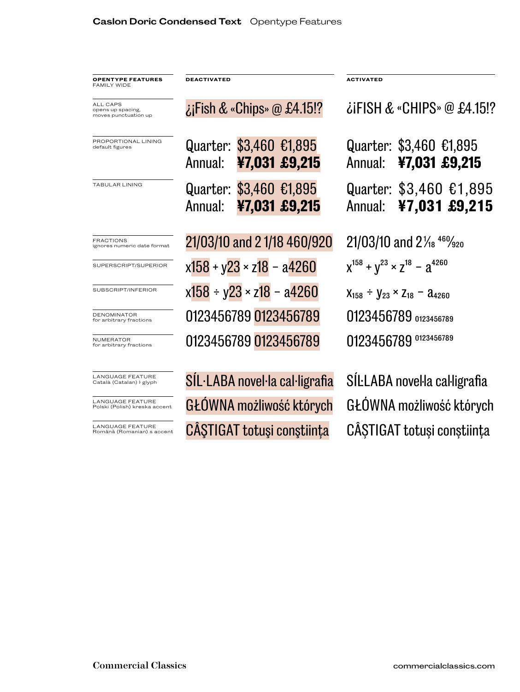| <b>OPENTYPE FEATURES</b><br>FAMILY WIDE                      | <b>DEACTIVATED</b>                 |                                |               | <b>ACTIVATED</b>                                    |                                           |  |
|--------------------------------------------------------------|------------------------------------|--------------------------------|---------------|-----------------------------------------------------|-------------------------------------------|--|
| <b>ALL CAPS</b><br>opens up spacing.<br>moves punctuation up | $\lambda$ Fish & «Chips» @ £4.15!? |                                |               | $\lambda$ iFISH & «CHIPS» @ £4.15!?                 |                                           |  |
| PROPORTIONAL LINING<br>default figures                       | Quarter: \$3,460 €1,895<br>Annual: |                                | ¥7,031 £9,215 | Annual:                                             | Quarter: \$3,460 €1,895<br>¥7,031 £9,215  |  |
| TABULAR LINING                                               | Quarter: \$3,460 €1,895<br>Annual: |                                | ¥7,031 £9,215 | Annual:                                             | Quarter: $$3,460$ £1,895<br>¥7,031 £9,215 |  |
| <b>FRACTIONS</b><br>ignores numeric date format              | 21/03/10 and 21/18 460/920         |                                |               | $21/03/10$ and $2\frac{1}{18}$ $46\frac{9}{20}$     |                                           |  |
| SUPERSCRIPT/SUPERIOR                                         | $x158 + y23 \times z18 - a4260$    |                                |               | $X^{158} + V^{23} \times Z^{18} - A^{4260}$         |                                           |  |
| SUBSCRIPT/INFERIOR                                           | $x158 + y23 \times z18 - a4260$    |                                |               | $X_{158}$ ÷ $Y_{23}$ × Z <sub>18</sub> – $a_{4260}$ |                                           |  |
| <b>DENOMINATOR</b><br>for arbitrary fractions                | 0123456789 0123456789              |                                |               | 0123456789 0123456789                               |                                           |  |
| <b>NUMERATOR</b><br>for arbitrary fractions                  | 0123456789 0123456789              |                                |               | 0123456789 0123456789                               |                                           |  |
| LANGUAGE FEATURE<br>Català (Catalan) I glyph                 |                                    | SIL·LABA novel·la cal·ligrafia |               |                                                     | SILLABA novella calligrafia               |  |
| <b>LANGUAGE FEATURE</b><br>Polski (Polish) kreska accent     | GŁÓWNA możliwość których           |                                |               | GŁÓWNA możliwość których                            |                                           |  |

LANGUAGE FEATURE Română (Romanian) s accent

CÂŞTIGAT totuşi conştiința CÂȘTIGAT totuși conștiința